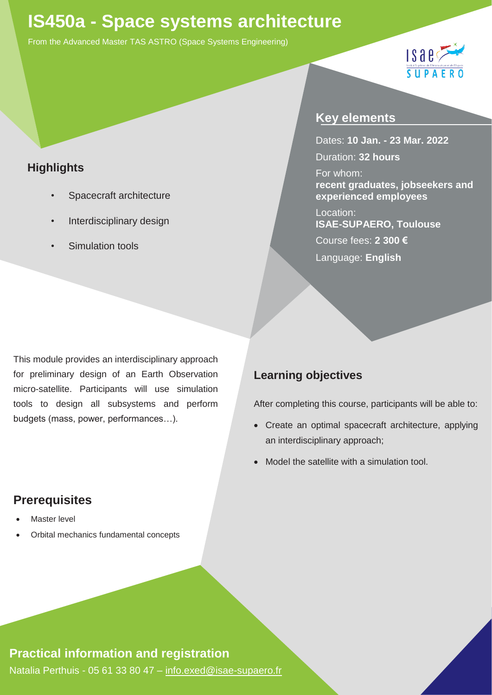# **IS450a - Space systems architecture**

From the Advanced Master TAS ASTRO (Space Systems Engineering)



## **Highlights**

- *•* Spacecraft architecture
- *•* Interdisciplinary design
- *•* Simulation tools

## **Key elements**

Dates: **10 Jan. - 23 Mar. 2022** Duration: **32 hours**

For whom: **recent graduates, jobseekers and experienced employees**

Location: **ISAE-SUPAERO, Toulouse**  Course fees: **2 300 €** Language: **English**

This module provides an interdisciplinary approach for preliminary design of an Earth Observation micro-satellite. Participants will use simulation tools to design all subsystems and perform budgets (mass, power, performances…).

## **Learning objectives**

After completing this course, participants will be able to:

- Create an optimal spacecraft architecture, applying an interdisciplinary approach;
- Model the satellite with a simulation tool.

## **Prerequisites**

- **Master level**
- Orbital mechanics fundamental concepts

## **Practical information and registration**

Natalia Perthuis - 05 61 33 80 47 – [info.exed@isae-supaero.fr](mailto:info.exed@isae-supaero.fr)